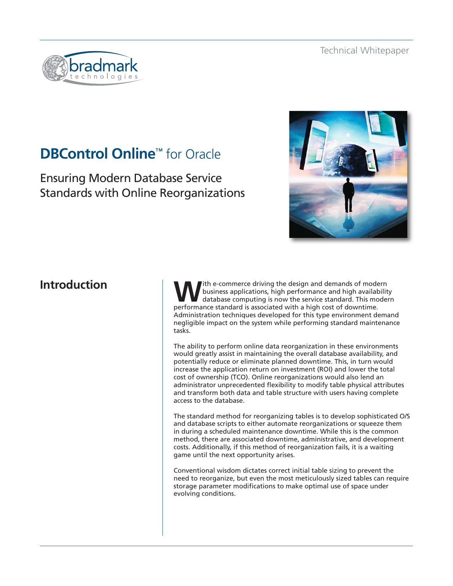

# **DBControl Online**™ for Oracle

Ensuring Modern Database Service Standards with Online Reorganizations



# **Introduction**

**W**ith e-commerce driving the design and demands of modern business applications, high performance and high availability database computing is now the service standard. This modern performance standard is associated with a high cost of downtime. Administration techniques developed for this type environment demand negligible impact on the system while performing standard maintenance tasks.

The ability to perform online data reorganization in these environments would greatly assist in maintaining the overall database availability, and potentially reduce or eliminate planned downtime. This, in turn would increase the application return on investment (ROI) and lower the total cost of ownership (TCO). Online reorganizations would also lend an administrator unprecedented flexibility to modify table physical attributes and transform both data and table structure with users having complete access to the database.

The standard method for reorganizing tables is to develop sophisticated O/S and database scripts to either automate reorganizations or squeeze them in during a scheduled maintenance downtime. While this is the common method, there are associated downtime, administrative, and development costs. Additionally, if this method of reorganization fails, it is a waiting game until the next opportunity arises.

Conventional wisdom dictates correct initial table sizing to prevent the need to reorganize, but even the most meticulously sized tables can require storage parameter modifications to make optimal use of space under evolving conditions.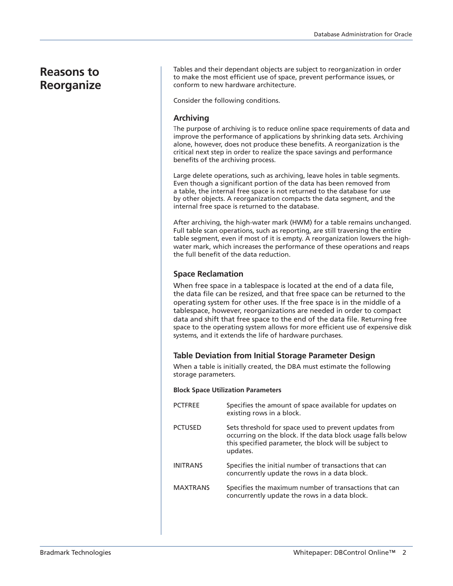# **Reasons to Reorganize**

Tables and their dependant objects are subject to reorganization in order to make the most efficient use of space, prevent performance issues, or conform to new hardware architecture.

Consider the following conditions.

# **Archiving**

The purpose of archiving is to reduce online space requirements of data and improve the performance of applications by shrinking data sets. Archiving alone, however, does not produce these benefits. A reorganization is the critical next step in order to realize the space savings and performance benefits of the archiving process.

Large delete operations, such as archiving, leave holes in table segments. Even though a significant portion of the data has been removed from a table, the internal free space is not returned to the database for use by other objects. A reorganization compacts the data segment, and the internal free space is returned to the database.

After archiving, the high-water mark (HWM) for a table remains unchanged. Full table scan operations, such as reporting, are still traversing the entire table segment, even if most of it is empty. A reorganization lowers the highwater mark, which increases the performance of these operations and reaps the full benefit of the data reduction.

# **Space Reclamation**

When free space in a tablespace is located at the end of a data file, the data file can be resized, and that free space can be returned to the operating system for other uses. If the free space is in the middle of a tablespace, however, reorganizations are needed in order to compact data and shift that free space to the end of the data file. Returning free space to the operating system allows for more efficient use of expensive disk systems, and it extends the life of hardware purchases.

# **Table Deviation from Initial Storage Parameter Design**

When a table is initially created, the DBA must estimate the following storage parameters.

# **Block Space Utilization Parameters**

| <b>PCTFREE</b>  | Specifies the amount of space available for updates on<br>existing rows in a block.                                                                                                        |
|-----------------|--------------------------------------------------------------------------------------------------------------------------------------------------------------------------------------------|
| <b>PCTUSED</b>  | Sets threshold for space used to prevent updates from<br>occurring on the block. If the data block usage falls below<br>this specified parameter, the block will be subject to<br>updates. |
| <b>INITRANS</b> | Specifies the initial number of transactions that can<br>concurrently update the rows in a data block.                                                                                     |
| <b>MAXTRANS</b> | Specifies the maximum number of transactions that can<br>concurrently update the rows in a data block.                                                                                     |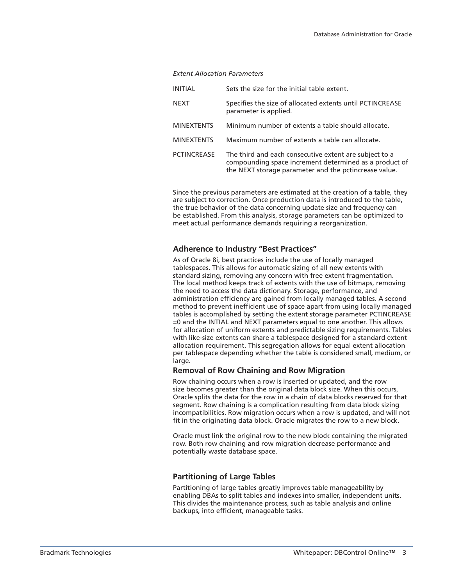#### *Extent Allocation Parameters*

| Sets the size for the initial table extent.                                                                                                                               |
|---------------------------------------------------------------------------------------------------------------------------------------------------------------------------|
| Specifies the size of allocated extents until PCTINCREASE<br>parameter is applied.                                                                                        |
| Minimum number of extents a table should allocate.                                                                                                                        |
| Maximum number of extents a table can allocate.                                                                                                                           |
| The third and each consecutive extent are subject to a<br>compounding space increment determined as a product of<br>the NEXT storage parameter and the pctincrease value. |
|                                                                                                                                                                           |

Since the previous parameters are estimated at the creation of a table, they are subject to correction. Once production data is introduced to the table, the true behavior of the data concerning update size and frequency can be established. From this analysis, storage parameters can be optimized to meet actual performance demands requiring a reorganization.

# **Adherence to Industry "Best Practices"**

As of Oracle 8i, best practices include the use of locally managed tablespaces. This allows for automatic sizing of all new extents with standard sizing, removing any concern with free extent fragmentation. The local method keeps track of extents with the use of bitmaps, removing the need to access the data dictionary. Storage, performance, and administration efficiency are gained from locally managed tables. A second method to prevent inefficient use of space apart from using locally managed tables is accomplished by setting the extent storage parameter PCTINCREASE =0 and the INTIAL and NEXT parameters equal to one another. This allows for allocation of uniform extents and predictable sizing requirements. Tables with like-size extents can share a tablespace designed for a standard extent allocation requirement. This segregation allows for equal extent allocation per tablespace depending whether the table is considered small, medium, or large.

# **Removal of Row Chaining and Row Migration**

Row chaining occurs when a row is inserted or updated, and the row size becomes greater than the original data block size. When this occurs, Oracle splits the data for the row in a chain of data blocks reserved for that segment. Row chaining is a complication resulting from data block sizing incompatibilities. Row migration occurs when a row is updated, and will not fit in the originating data block. Oracle migrates the row to a new block.

Oracle must link the original row to the new block containing the migrated row. Both row chaining and row migration decrease performance and potentially waste database space.

#### **Partitioning of Large Tables**

Partitioning of large tables greatly improves table manageability by enabling DBAs to split tables and indexes into smaller, independent units. This divides the maintenance process, such as table analysis and online backups, into efficient, manageable tasks.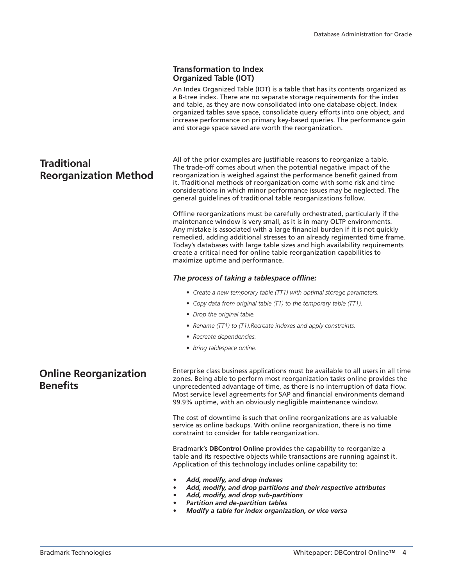# **Transformation to Index Organized Table (IOT)**

An Index Organized Table (IOT) is a table that has its contents organized as a B-tree index. There are no separate storage requirements for the index and table, as they are now consolidated into one database object. Index organized tables save space, consolidate query efforts into one object, and increase performance on primary key-based queries. The performance gain and storage space saved are worth the reorganization.

All of the prior examples are justifiable reasons to reorganize a table. The trade-off comes about when the potential negative impact of the reorganization is weighed against the performance benefit gained from it. Traditional methods of reorganization come with some risk and time considerations in which minor performance issues may be neglected. The general guidelines of traditional table reorganizations follow.

Offline reorganizations must be carefully orchestrated, particularly if the maintenance window is very small, as it is in many OLTP environments. Any mistake is associated with a large financial burden if it is not quickly remedied, adding additional stresses to an already regimented time frame. Today's databases with large table sizes and high availability requirements create a critical need for online table reorganization capabilities to maximize uptime and performance.

# *The process of taking a tablespace offline:*

- *• Create a new temporary table (TT1) with optimal storage parameters.*
- *• Copy data from original table (T1) to the temporary table (TT1).*
- *• Drop the original table.*
- *• Rename (TT1) to (T1).Recreate indexes and apply constraints.*
- *• Recreate dependencies.*
- *• Bring tablespace online.*

Enterprise class business applications must be available to all users in all time zones. Being able to perform most reorganization tasks online provides the unprecedented advantage of time, as there is no interruption of data flow. Most service level agreements for SAP and financial environments demand 99.9% uptime, with an obviously negligible maintenance window.

The cost of downtime is such that online reorganizations are as valuable service as online backups. With online reorganization, there is no time constraint to consider for table reorganization.

Bradmark's **DBControl Online** provides the capability to reorganize a table and its respective objects while transactions are running against it. Application of this technology includes online capability to:

- *• Add, modify, and drop indexes*
- *• Add, modify, and drop partitions and their respective attributes*
- *• Add, modify, and drop sub-partitions*
- *• Partition and de-partition tables*
- *Modify a table for index organization, or vice versa*

# **Reorganization Method**

**Traditional** 

**Online Reorganization Benefits**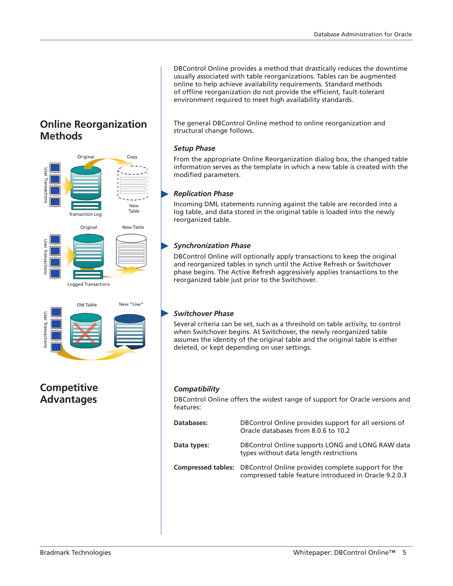DBControl Online provides a method that drastically reduces the downtime usually associated with table reorganizations. Tables can be augmented online to help achieve availability requirements. Standard methods of offline reorganization do not provide the efficient, fault-tolerant environment required to meet high availability standards.

The general DBControl Online method to online reorganization and structural change follows.

#### *Setup Phase*

From the appropriate Online Reorganization dialog box, the changed table information serves as the template in which a new table is created with the modified parameters.

## *Replication Phase*

Incoming DML statements running against the table are recorded into a log table, and data stored in the original table is loaded into the newly reorganized table.

# *Synchronization Phase*

DBControl Online will optionally apply transactions to keep the original and reorganized tables in synch until the Active Refresh or Switchover phase begins. The Active Refresh aggressively applies transactions to the reorganized table just prior to the Switchover.

# *Switchover Phase*

Several criteria can be set, such as a threshold on table activity, to control when Switchover begins. At Switchover, the newly reorganized table assumes the identity of the original table and the original table is either deleted, or kept depending on user settings.

# *Compatibility*

DBControl Online offers the widest range of support for Oracle versions and features:

| Databases:  | DBControl Online provides support for all versions of<br>Oracle databases from 8.0.6 to 10.2                                          |
|-------------|---------------------------------------------------------------------------------------------------------------------------------------|
| Data types: | DBControl Online supports LONG and LONG RAW data<br>types without data length restrictions                                            |
|             | <b>Compressed tables:</b> DBControl Online provides complete support for the<br>compressed table feature introduced in Oracle 9.2.0.3 |

# **Online Reorganization Methods**





# **Competitive Advantages**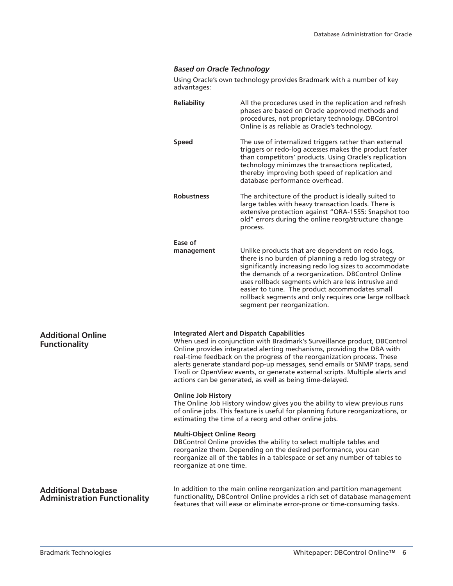# *Based on Oracle Technology*

Using Oracle's own technology provides Bradmark with a number of key advantages:

|                                                                   | <b>Reliability</b><br>All the procedures used in the replication and refresh<br>phases are based on Oracle approved methods and<br>procedures, not proprietary technology. DBControl<br>Online is as reliable as Oracle's technology.                                                                                                                                                                                                                                                                       |                                                                                                                                                                                                                                                                                                                                                                                                                            |  |  |
|-------------------------------------------------------------------|-------------------------------------------------------------------------------------------------------------------------------------------------------------------------------------------------------------------------------------------------------------------------------------------------------------------------------------------------------------------------------------------------------------------------------------------------------------------------------------------------------------|----------------------------------------------------------------------------------------------------------------------------------------------------------------------------------------------------------------------------------------------------------------------------------------------------------------------------------------------------------------------------------------------------------------------------|--|--|
|                                                                   | <b>Speed</b>                                                                                                                                                                                                                                                                                                                                                                                                                                                                                                | The use of internalized triggers rather than external<br>triggers or redo-log accesses makes the product faster<br>than competitors' products. Using Oracle's replication<br>technology minimzes the transactions replicated,<br>thereby improving both speed of replication and<br>database performance overhead.                                                                                                         |  |  |
|                                                                   | <b>Robustness</b>                                                                                                                                                                                                                                                                                                                                                                                                                                                                                           | The architecture of the product is ideally suited to<br>large tables with heavy transaction loads. There is<br>extensive protection against "ORA-1555: Snapshot too<br>old" errors during the online reorg/structure change<br>process.                                                                                                                                                                                    |  |  |
|                                                                   | Ease of<br>management                                                                                                                                                                                                                                                                                                                                                                                                                                                                                       | Unlike products that are dependent on redo logs,<br>there is no burden of planning a redo log strategy or<br>significantly increasing redo log sizes to accommodate<br>the demands of a reorganization. DBControl Online<br>uses rollback segments which are less intrusive and<br>easier to tune. The product accommodates small<br>rollback segments and only requires one large rollback<br>segment per reorganization. |  |  |
| <b>Additional Online</b><br><b>Functionality</b>                  | <b>Integrated Alert and Dispatch Capabilities</b><br>When used in conjunction with Bradmark's Surveillance product, DBControl<br>Online provides integrated alerting mechanisms, providing the DBA with<br>real-time feedback on the progress of the reorganization process. These<br>alerts generate standard pop-up messages, send emails or SNMP traps, send<br>Tivoli or OpenView events, or generate external scripts. Multiple alerts and<br>actions can be generated, as well as being time-delayed. |                                                                                                                                                                                                                                                                                                                                                                                                                            |  |  |
|                                                                   | <b>Online Job History</b><br>The Online Job History window gives you the ability to view previous runs<br>of online jobs. This feature is useful for planning future reorganizations, or<br>estimating the time of a reorg and other online jobs.                                                                                                                                                                                                                                                           |                                                                                                                                                                                                                                                                                                                                                                                                                            |  |  |
|                                                                   | <b>Multi-Object Online Reorg</b><br>DBControl Online provides the ability to select multiple tables and<br>reorganize them. Depending on the desired performance, you can<br>reorganize all of the tables in a tablespace or set any number of tables to<br>reorganize at one time.                                                                                                                                                                                                                         |                                                                                                                                                                                                                                                                                                                                                                                                                            |  |  |
| <b>Additional Database</b><br><b>Administration Functionality</b> | In addition to the main online reorganization and partition management<br>functionality, DBControl Online provides a rich set of database management<br>features that will ease or eliminate error-prone or time-consuming tasks.                                                                                                                                                                                                                                                                           |                                                                                                                                                                                                                                                                                                                                                                                                                            |  |  |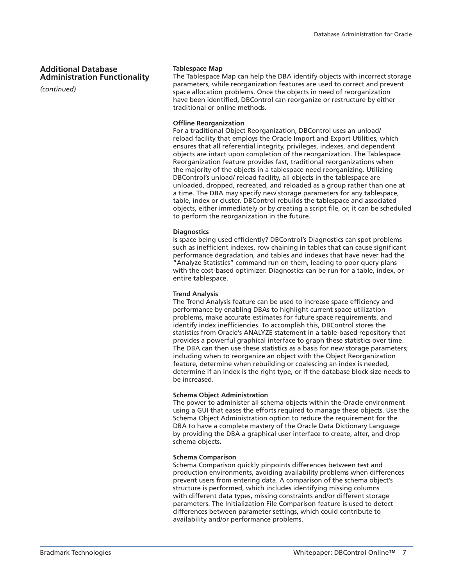# **Additional Database Administration Functionality**

*(continued)*

### **Tablespace Map**

The Tablespace Map can help the DBA identify objects with incorrect storage parameters, while reorganization features are used to correct and prevent space allocation problems. Once the objects in need of reorganization have been identified, DBControl can reorganize or restructure by either traditional or online methods.

### **Offline Reorganization**

For a traditional Object Reorganization, DBControl uses an unload/ reload facility that employs the Oracle Import and Export Utilities, which ensures that all referential integrity, privileges, indexes, and dependent objects are intact upon completion of the reorganization. The Tablespace Reorganization feature provides fast, traditional reorganizations when the majority of the objects in a tablespace need reorganizing. Utilizing DBControl's unload/ reload facility, all objects in the tablespace are unloaded, dropped, recreated, and reloaded as a group rather than one at a time. The DBA may specify new storage parameters for any tablespace, table, index or cluster. DBControl rebuilds the tablespace and associated objects, either immediately or by creating a script file, or, it can be scheduled to perform the reorganization in the future.

#### **Diagnostics**

Is space being used efficiently? DBControl's Diagnostics can spot problems such as inefficient indexes, row chaining in tables that can cause significant performance degradation, and tables and indexes that have never had the "Analyze Statistics" command run on them, leading to poor query plans with the cost-based optimizer. Diagnostics can be run for a table, index, or entire tablespace.

# **Trend Analysis**

The Trend Analysis feature can be used to increase space efficiency and performance by enabling DBAs to highlight current space utilization problems, make accurate estimates for future space requirements, and identify index inefficiencies. To accomplish this, DBControl stores the statistics from Oracle's ANALYZE statement in a table-based repository that provides a powerful graphical interface to graph these statistics over time. The DBA can then use these statistics as a basis for new storage parameters; including when to reorganize an object with the Object Reorganization feature, determine when rebuilding or coalescing an index is needed, determine if an index is the right type, or if the database block size needs to be increased.

# **Schema Object Administration**

The power to administer all schema objects within the Oracle environment using a GUI that eases the efforts required to manage these objects. Use the Schema Object Administration option to reduce the requirement for the DBA to have a complete mastery of the Oracle Data Dictionary Language by providing the DBA a graphical user interface to create, alter, and drop schema objects.

#### **Schema Comparison**

Schema Comparison quickly pinpoints differences between test and production environments, avoiding availability problems when differences prevent users from entering data. A comparison of the schema object's structure is performed, which includes identifying missing columns with different data types, missing constraints and/or different storage parameters. The Initialization File Comparison feature is used to detect differences between parameter settings, which could contribute to availability and/or performance problems.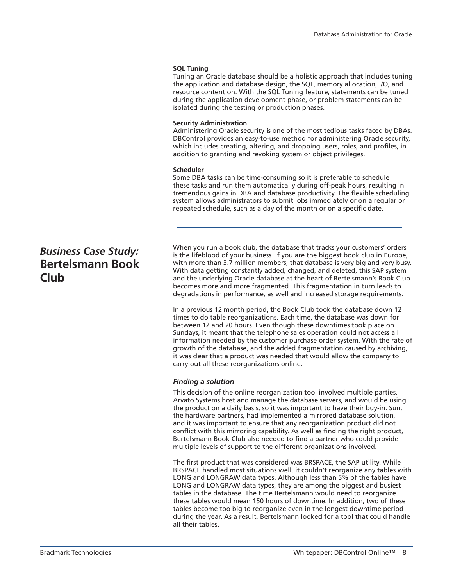## **SQL Tuning**

Tuning an Oracle database should be a holistic approach that includes tuning the application and database design, the SQL, memory allocation, I/O, and resource contention. With the SQL Tuning feature, statements can be tuned during the application development phase, or problem statements can be isolated during the testing or production phases.

### **Security Administration**

Administering Oracle security is one of the most tedious tasks faced by DBAs. DBControl provides an easy-to-use method for administering Oracle security, which includes creating, altering, and dropping users, roles, and profiles, in addition to granting and revoking system or object privileges.

## **Scheduler**

Some DBA tasks can be time-consuming so it is preferable to schedule these tasks and run them automatically during off-peak hours, resulting in tremendous gains in DBA and database productivity. The flexible scheduling system allows administrators to submit jobs immediately or on a regular or repeated schedule, such as a day of the month or on a specific date.

When you run a book club, the database that tracks your customers' orders is the lifeblood of your business. If you are the biggest book club in Europe, with more than 3.7 million members, that database is very big and very busy. With data getting constantly added, changed, and deleted, this SAP system and the underlying Oracle database at the heart of Bertelsmann's Book Club becomes more and more fragmented. This fragmentation in turn leads to degradations in performance, as well and increased storage requirements.

In a previous 12 month period, the Book Club took the database down 12 times to do table reorganizations. Each time, the database was down for between 12 and 20 hours. Even though these downtimes took place on Sundays, it meant that the telephone sales operation could not access all information needed by the customer purchase order system. With the rate of growth of the database, and the added fragmentation caused by archiving, it was clear that a product was needed that would allow the company to carry out all these reorganizations online.

# *Finding a solution*

This decision of the online reorganization tool involved multiple parties. Arvato Systems host and manage the database servers, and would be using the product on a daily basis, so it was important to have their buy-in. Sun, the hardware partners, had implemented a mirrored database solution, and it was important to ensure that any reorganization product did not conflict with this mirroring capability. As well as finding the right product, Bertelsmann Book Club also needed to find a partner who could provide multiple levels of support to the different organizations involved.

The first product that was considered was BRSPACE, the SAP utility. While BRSPACE handled most situations well, it couldn't reorganize any tables with LONG and LONGRAW data types. Although less than 5% of the tables have LONG and LONGRAW data types, they are among the biggest and busiest tables in the database. The time Bertelsmann would need to reorganize these tables would mean 150 hours of downtime. In addition, two of these tables become too big to reorganize even in the longest downtime period during the year. As a result, Bertelsmann looked for a tool that could handle all their tables.

# *Business Case Study:* **Bertelsmann Book Club**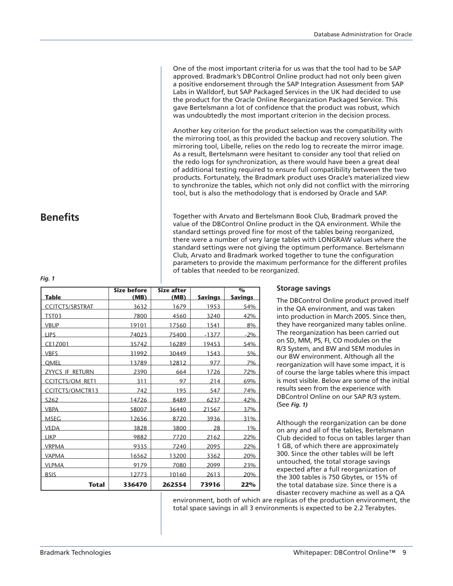One of the most important criteria for us was that the tool had to be SAP approved. Bradmark's DBControl Online product had not only been given a positive endorsement through the SAP Integration Assessment from SAP Labs in Walldorf, but SAP Packaged Services in the UK had decided to use the product for the Oracle Online Reorganization Packaged Service. This gave Bertelsmann a lot of confidence that the product was robust, which was undoubtedly the most important criterion in the decision process.

Another key criterion for the product selection was the compatibility with the mirroring tool, as this provided the backup and recovery solution. The mirroring tool, Libelle, relies on the redo log to recreate the mirror image. As a result, Bertelsmann were hesitant to consider any tool that relied on the redo logs for synchronization, as there would have been a great deal of additional testing required to ensure full compatibility between the two products. Fortunately, the Bradmark product uses Oracle's materialized view to synchronize the tables, which not only did not conflict with the mirroring tool, but is also the methodology that is endorsed by Oracle and SAP.

Together with Arvato and Bertelsmann Book Club, Bradmark proved the value of the DBControl Online product in the QA environment. While the standard settings proved fine for most of the tables being reorganized, there were a number of very large tables with LONGRAW values where the standard settings were not giving the optimum performance. Bertelsmann Club, Arvato and Bradmark worked together to tune the configuration parameters to provide the maximum performance for the different profiles of tables that needed to be reorganized.

|                        | <b>Size before</b> | <b>Size after</b> |                | $\mathbf{O}_\mathbf{O}$ |
|------------------------|--------------------|-------------------|----------------|-------------------------|
| <b>Table</b>           | (MB)               | (MB)              | <b>Savings</b> | <b>Savings</b>          |
| <b>CCITCTS/SRSTRAT</b> | 3632               | 1679              | 1953           | 54%                     |
| TST03                  | 7800               | 4560              | 3240           | 42%                     |
| <b>VBUP</b>            | 19101              | 17560             | 1541           | 8%                      |
| <b>LIPS</b>            | 74023              | 75400             | $-1377$        | $-2\%$                  |
| CE1Z001                | 35742              | 16289             | 19453          | 54%                     |
| <b>VBFS</b>            | 31992              | 30449             | 1543           | 5%                      |
| <b>OMEL</b>            | 13789              | 12812             | 977            | 7%                      |
| <u>ZYYCS IF RETURN</u> | 2390               | 664               | 1726           | 72%                     |
| <b>CCITCTS/OM RET1</b> | 311                | 97                | 214            | 69%                     |
| <b>CCITCTS/OMCTR13</b> | 742                | 195               | 547            | 74%                     |
| S <sub>262</sub>       | 14726              | 8489              | 6237           | 42%                     |
| <b>VBPA</b>            | 58007              | 36440             | 21567          | 37%                     |
| <b>MSEG</b>            | 12656              | 8720              | 3936           | 31%                     |
| <b>VEDA</b>            | 3828               | 3800              | 28             | 1%                      |
| <b>LIKP</b>            | 9882               | 7720              | 2162           | 22%                     |
| <b>VRPMA</b>           | 9335               | 7240              | 2095           | 22%                     |
| <b>VAPMA</b>           | 16562              | 13200             | 3362           | 20%                     |
| <b>VLPMA</b>           | 9179               | 7080              | 2099           | 23%                     |
| <b>BSIS</b>            | 12773              | 10160             | 2613           | 20%                     |
| <b>Total</b>           | 336470             | 262554            | 73916          | 22%                     |

# **Storage savings**

The DBControl Online product proved itself in the QA environment, and was taken into production in March 2005. Since then, they have reorganized many tables online. The reorganization has been carried out on SD, MM, PS, FI, CO modules on the R/3 System, and BW and SEM modules in our BW environment. Although all the reorganization will have some impact, it is of course the large tables where this impact is most visible. Below are some of the initial results seen from the experience with DBControl Online on our SAP R/3 system. (See *Fig. 1)*

Although the reorganization can be done on any and all of the tables, Bertelsmann Club decided to focus on tables larger than 1 GB, of which there are approximately 300. Since the other tables will be left untouched, the total storage savings expected after a full reorganization of the 300 tables is 750 Gbytes, or 15% of the total database size. Since there is a disaster recovery machine as well as a QA

environment, both of which are replicas of the production environment, the total space savings in all 3 environments is expected to be 2.2 Terabytes.

# **Benefits**

*Fig. 1*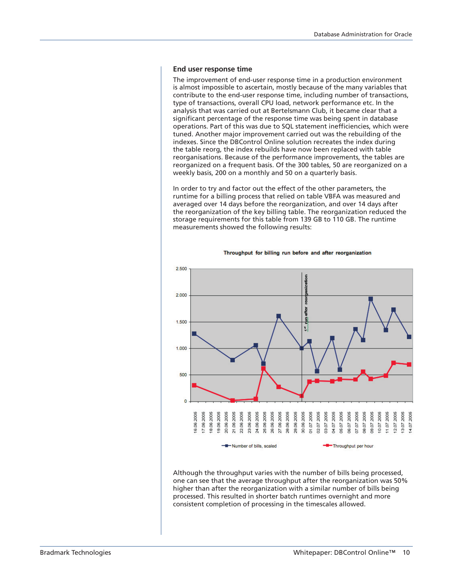#### **End user response time**

The improvement of end-user response time in a production environment is almost impossible to ascertain, mostly because of the many variables that contribute to the end-user response time, including number of transactions, type of transactions, overall CPU load, network performance etc. In the analysis that was carried out at Bertelsmann Club, it became clear that a significant percentage of the response time was being spent in database operations. Part of this was due to SQL statement inefficiencies, which were tuned. Another major improvement carried out was the rebuilding of the indexes. Since the DBControl Online solution recreates the index during the table reorg, the index rebuilds have now been replaced with table reorganisations. Because of the performance improvements, the tables are reorganized on a frequent basis. Of the 300 tables, 50 are reorganized on a weekly basis, 200 on a monthly and 50 on a quarterly basis.

In order to try and factor out the effect of the other parameters, the runtime for a billing process that relied on table VBFA was measured and averaged over 14 days before the reorganization, and over 14 days after the reorganization of the key billing table. The reorganization reduced the storage requirements for this table from 139 GB to 110 GB. The runtime measurements showed the following results:



Throughput for billing run before and after reorganization

Although the throughput varies with the number of bills being processed, one can see that the average throughput after the reorganization was 50% higher than after the reorganization with a similar number of bills being processed. This resulted in shorter batch runtimes overnight and more consistent completion of processing in the timescales allowed.